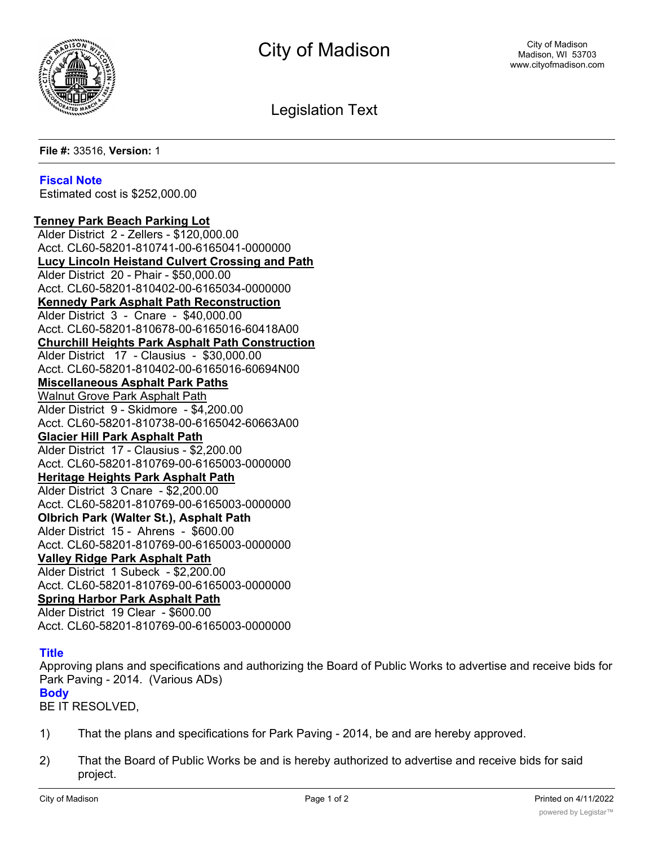

Legislation Text

**File #:** 33516, **Version:** 1

## **Fiscal Note**

Estimated cost is \$252,000.00

**Tenney Park Beach Parking Lot** Alder District 2 - Zellers - \$120,000.00 Acct. CL60-58201-810741-00-6165041-0000000 **Lucy Lincoln Heistand Culvert Crossing and Path** Alder District 20 - Phair - \$50,000.00 Acct. CL60-58201-810402-00-6165034-0000000 **Kennedy Park Asphalt Path Reconstruction** Alder District 3 - Cnare - \$40,000.00 Acct. CL60-58201-810678-00-6165016-60418A00 **Churchill Heights Park Asphalt Path Construction** Alder District 17 - Clausius - \$30,000.00 Acct. CL60-58201-810402-00-6165016-60694N00 **Miscellaneous Asphalt Park Paths** Walnut Grove Park Asphalt Path Alder District 9 - Skidmore - \$4,200.00 Acct. CL60-58201-810738-00-6165042-60663A00 **Glacier Hill Park Asphalt Path** Alder District 17 - Clausius - \$2,200.00 Acct. CL60-58201-810769-00-6165003-0000000 **Heritage Heights Park Asphalt Path** Alder District 3 Cnare - \$2,200.00 Acct. CL60-58201-810769-00-6165003-0000000 **Olbrich Park (Walter St.), Asphalt Path** Alder District 15 - Ahrens - \$600.00 Acct. CL60-58201-810769-00-6165003-0000000 **Valley Ridge Park Asphalt Path** Alder District 1 Subeck - \$2,200.00 Acct. CL60-58201-810769-00-6165003-0000000 **Spring Harbor Park Asphalt Path** Alder District 19 Clear - \$600.00 Acct. CL60-58201-810769-00-6165003-0000000

## **Title**

Approving plans and specifications and authorizing the Board of Public Works to advertise and receive bids for Park Paving - 2014. (Various ADs) **Body**

BE IT RESOLVED,

- 1) That the plans and specifications for Park Paving 2014, be and are hereby approved.
- 2) That the Board of Public Works be and is hereby authorized to advertise and receive bids for said project.